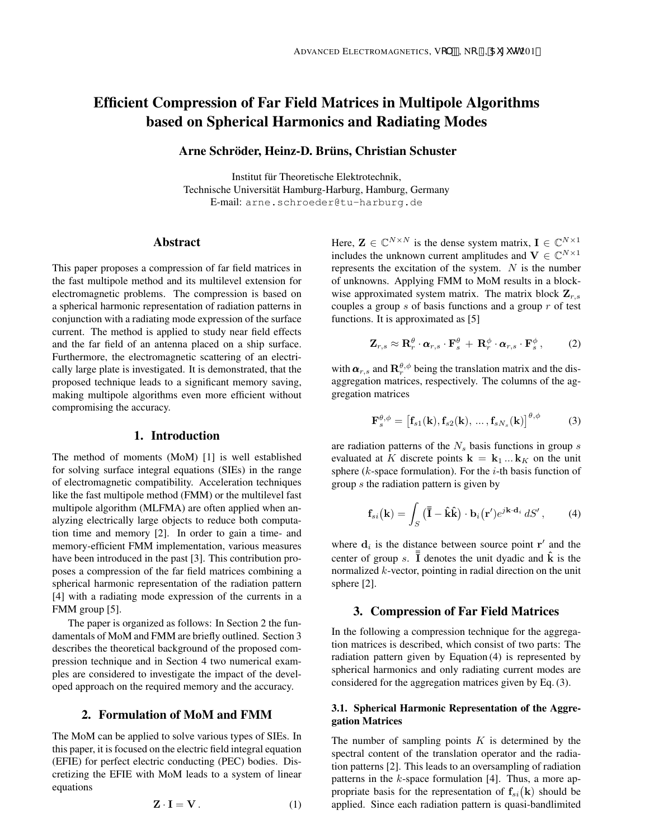# Efficient Compression of Far Field Matrices in Multipole Algorithms based on Spherical Harmonics and Radiating Modes

## Arne Schröder, Heinz-D. Brüns, Christian Schuster

Institut fur Theoretische Elektrotechnik, ¨ Technische Universität Hamburg-Harburg, Hamburg, Germany E-mail: arne.schroeder@tu-harburg.de

## Abstract

This paper proposes a compression of far field matrices in the fast multipole method and its multilevel extension for electromagnetic problems. The compression is based on a spherical harmonic representation of radiation patterns in conjunction with a radiating mode expression of the surface current. The method is applied to study near field effects and the far field of an antenna placed on a ship surface. Furthermore, the electromagnetic scattering of an electrically large plate is investigated. It is demonstrated, that the proposed technique leads to a significant memory saving, making multipole algorithms even more efficient without compromising the accuracy.

# 1. Introduction

The method of moments (MoM) [1] is well established for solving surface integral equations (SIEs) in the range of electromagnetic compatibility. Acceleration techniques like the fast multipole method (FMM) or the multilevel fast multipole algorithm (MLFMA) are often applied when analyzing electrically large objects to reduce both computation time and memory [2]. In order to gain a time- and memory-efficient FMM implementation, various measures have been introduced in the past [3]. This contribution proposes a compression of the far field matrices combining a spherical harmonic representation of the radiation pattern [4] with a radiating mode expression of the currents in a FMM group [5].

The paper is organized as follows: In Section 2 the fundamentals of MoM and FMM are briefly outlined. Section 3 describes the theoretical background of the proposed compression technique and in Section 4 two numerical examples are considered to investigate the impact of the developed approach on the required memory and the accuracy.

## 2. Formulation of MoM and FMM

The MoM can be applied to solve various types of SIEs. In this paper, it is focused on the electric field integral equation (EFIE) for perfect electric conducting (PEC) bodies. Discretizing the EFIE with MoM leads to a system of linear equations

$$
\mathbf{Z} \cdot \mathbf{I} = \mathbf{V} \,. \tag{1}
$$

Here,  $\mathbf{Z} \in \mathbb{C}^{N \times N}$  is the dense system matrix,  $\mathbf{I} \in \mathbb{C}^{N \times 1}$ includes the unknown current amplitudes and  $V \in \mathbb{C}^{N \times 1}$ represents the excitation of the system.  $N$  is the number of unknowns. Applying FMM to MoM results in a blockwise approximated system matrix. The matrix block  $\mathbf{Z}_{r,s}$ couples a group  $s$  of basis functions and a group  $r$  of test functions. It is approximated as [5]

$$
\mathbf{Z}_{r,s} \approx \mathbf{R}_r^{\theta} \cdot \boldsymbol{\alpha}_{r,s} \cdot \mathbf{F}_s^{\theta} + \mathbf{R}_r^{\phi} \cdot \boldsymbol{\alpha}_{r,s} \cdot \mathbf{F}_s^{\phi},\qquad(2)
$$

with  $\boldsymbol{\alpha}_{r,s}$  and  $\mathbf{R}_r^{\theta,\phi}$  being the translation matrix and the disaggregation matrices, respectively. The columns of the aggregation matrices

$$
\mathbf{F}_{s}^{\theta,\phi} = \left[\mathbf{f}_{s1}(\mathbf{k}), \mathbf{f}_{s2}(\mathbf{k}), \dots, \mathbf{f}_{sN_{s}}(\mathbf{k})\right]^{\theta,\phi} \tag{3}
$$

are radiation patterns of the  $N_s$  basis functions in group  $s$ evaluated at K discrete points  $\mathbf{k} = \mathbf{k}_1 ... \mathbf{k}_K$  on the unit sphere ( $k$ -space formulation). For the  $i$ -th basis function of group s the radiation pattern is given by

$$
\mathbf{f}_{si}(\mathbf{k}) = \int_{S} (\overline{\overline{\mathbf{I}}} - \hat{\mathbf{k}} \hat{\mathbf{k}}) \cdot \mathbf{b}_{i}(\mathbf{r}') e^{j\mathbf{k} \cdot \mathbf{d}_{i}} dS', \qquad (4)
$$

where  $\mathbf{d}_i$  is the distance between source point  $\mathbf{r}'$  and the center of group s.  $\overline{I}$  denotes the unit dyadic and  $\hat{k}$  is the normalized k-vector, pointing in radial direction on the unit sphere [2].

# 3. Compression of Far Field Matrices

In the following a compression technique for the aggregation matrices is described, which consist of two parts: The radiation pattern given by Equation (4) is represented by spherical harmonics and only radiating current modes are considered for the aggregation matrices given by Eq. (3).

## 3.1. Spherical Harmonic Representation of the Aggregation Matrices

The number of sampling points  $K$  is determined by the spectral content of the translation operator and the radiation patterns [2]. This leads to an oversampling of radiation patterns in the  $k$ -space formulation [4]. Thus, a more appropriate basis for the representation of  $f_{si}(\mathbf{k})$  should be applied. Since each radiation pattern is quasi-bandlimited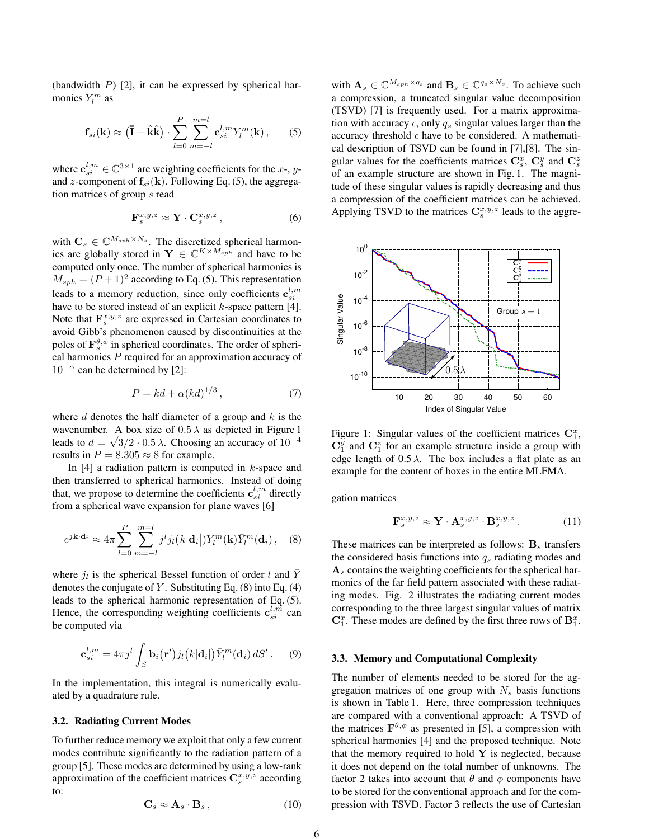(bandwidth  $P$ ) [2], it can be expressed by spherical harmonics  $Y_l^m$  as

$$
\mathbf{f}_{si}(\mathbf{k}) \approx (\overline{\overline{\mathbf{I}}} - \hat{\mathbf{k}} \hat{\mathbf{k}}) \cdot \sum_{l=0}^{P} \sum_{m=-l}^{m=l} \mathbf{c}_{si}^{l,m} Y_l^m(\mathbf{k}), \qquad (5)
$$

where  $\mathbf{c}_{si}^{l,m} \in \mathbb{C}^{3 \times 1}$  are weighting coefficients for the *x*-, *y*and z-component of  $f_{si}(\mathbf{k})$ . Following Eq. (5), the aggregation matrices of group s read

$$
\mathbf{F}_s^{x,y,z} \approx \mathbf{Y} \cdot \mathbf{C}_s^{x,y,z} \,, \tag{6}
$$

with  $\mathbf{C}_s \in \mathbb{C}^{M_{sph} \times N_s}$ . The discretized spherical harmonics are globally stored in  $Y \in \mathbb{C}^{K \times M_{sph}}$  and have to be computed only once. The number of spherical harmonics is  $M_{sph} = (P+1)^2$  according to Eq. (5). This representation leads to a memory reduction, since only coefficients  $\mathbf{c}_{si}^{l,m}$ have to be stored instead of an explicit  $k$ -space pattern [4]. Note that  $\mathbf{F}_s^{x,y,z}$  are expressed in Cartesian coordinates to avoid Gibb's phenomenon caused by discontinuities at the poles of  $\mathbf{F}_s^{\theta, \phi}$  in spherical coordinates. The order of spherical harmonics  $P$  required for an approximation accuracy of  $10^{-\alpha}$  can be determined by [2]:

$$
P = kd + \alpha (kd)^{1/3},\tag{7}
$$

where  $d$  denotes the half diameter of a group and  $k$  is the wavenumber. A box size of  $0.5\lambda$  as depicted in Figure 1 leads to  $d = \sqrt{3}/2 \cdot 0.5 \lambda$ . Choosing an accuracy of  $10^{-4}$ results in  $P = 8.305 \approx 8$  for example.

In  $[4]$  a radiation pattern is computed in k-space and then transferred to spherical harmonics. Instead of doing that, we propose to determine the coefficients  $\mathbf{c}_{si}^{l,m}$  directly from a spherical wave expansion for plane waves [6]

$$
e^{j\mathbf{k}\cdot\mathbf{d}_i} \approx 4\pi \sum_{l=0}^{P} \sum_{m=-l}^{m=l} j^l j_l(k|\mathbf{d}_i|) Y_l^m(\mathbf{k}) \bar{Y}_l^m(\mathbf{d}_i), \quad (8)
$$

where  $j_l$  is the spherical Bessel function of order l and  $\bar{Y}$ denotes the conjugate of  $Y$ . Substituting Eq. (8) into Eq. (4) leads to the spherical harmonic representation of Eq. (5). Hence, the corresponding weighting coefficients  $\mathbf{c}_{si}^{l,m}$  can be computed via

$$
\mathbf{c}_{si}^{l,m} = 4\pi j^l \int_S \mathbf{b}_i(\mathbf{r}') j_l(k|\mathbf{d}_i|) \bar{Y}_l^m(\mathbf{d}_i) dS'.
$$
 (9)

In the implementation, this integral is numerically evaluated by a quadrature rule.

#### 3.2. Radiating Current Modes

To further reduce memory we exploit that only a few current modes contribute significantly to the radiation pattern of a group [5]. These modes are determined by using a low-rank approximation of the coefficient matrices  $\mathbf{C}_s^{x,y,z}$  according to:

$$
\mathbf{C}_s \approx \mathbf{A}_s \cdot \mathbf{B}_s \,, \tag{10}
$$

with  $\mathbf{A}_s \in \mathbb{C}^{M_{sph} \times q_s}$  and  $\mathbf{B}_s \in \mathbb{C}^{q_s \times N_s}$ . To achieve such a compression, a truncated singular value decomposition (TSVD) [7] is frequently used. For a matrix approximation with accuracy  $\epsilon$ , only  $q_s$  singular values larger than the accuracy threshold  $\epsilon$  have to be considered. A mathematical description of TSVD can be found in [7],[8]. The singular values for the coefficients matrices  $\mathbf{C}_s^x$ ,  $\mathbf{C}_s^y$  and  $\mathbf{C}_s^z$ of an example structure are shown in Fig. 1. The magnitude of these singular values is rapidly decreasing and thus a compression of the coefficient matrices can be achieved. Applying TSVD to the matrices  $\mathbf{C}_s^{x,y,z}$  leads to the aggre-



Figure 1: Singular values of the coefficient matrices  $C_1^x$ ,  $C_1^{\bar{y}}$  and  $C_1^z$  for an example structure inside a group with edge length of  $0.5 \lambda$ . The box includes a flat plate as an example for the content of boxes in the entire MLFMA.

gation matrices

$$
\mathbf{F}_s^{x,y,z} \approx \mathbf{Y} \cdot \mathbf{A}_s^{x,y,z} \cdot \mathbf{B}_s^{x,y,z} . \tag{11}
$$

These matrices can be interpreted as follows:  $B_s$  transfers the considered basis functions into  $q_s$  radiating modes and  $A<sub>s</sub>$  contains the weighting coefficients for the spherical harmonics of the far field pattern associated with these radiating modes. Fig. 2 illustrates the radiating current modes corresponding to the three largest singular values of matrix  $\mathbb{C}_1^x$ . These modes are defined by the first three rows of  $\mathbb{B}_1^x$ .

#### 3.3. Memory and Computational Complexity

The number of elements needed to be stored for the aggregation matrices of one group with  $N_s$  basis functions is shown in Table 1. Here, three compression techniques are compared with a conventional approach: A TSVD of the matrices  $\mathbf{F}^{\theta, \phi}$  as presented in [5], a compression with spherical harmonics [4] and the proposed technique. Note that the memory required to hold  $Y$  is neglected, because it does not depend on the total number of unknowns. The factor 2 takes into account that  $\theta$  and  $\phi$  components have to be stored for the conventional approach and for the compression with TSVD. Factor 3 reflects the use of Cartesian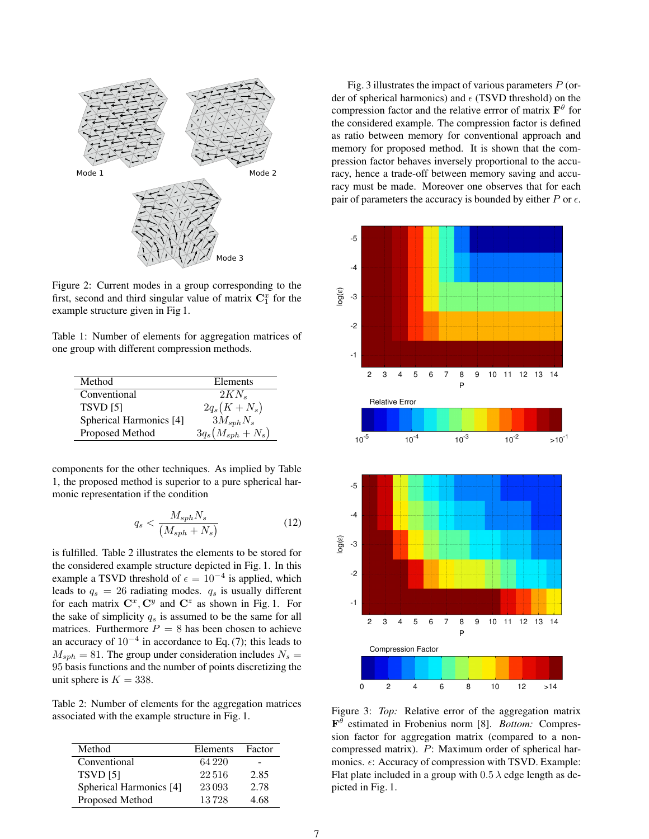

Figure 2: Current modes in a group corresponding to the first, second and third singular value of matrix  $\mathbf{C}_1^x$  for the example structure given in Fig 1.

Table 1: Number of elements for aggregation matrices of one group with different compression methods.

| Method                  | Elements            |
|-------------------------|---------------------|
| Conventional            | $2KN_{s}$           |
| <b>TSVD</b> [5]         | $2q_s(K+N_s)$       |
| Spherical Harmonics [4] | $3M_{sph}N_s$       |
| Proposed Method         | $3q_s(M_{sph}+N_s)$ |

components for the other techniques. As implied by Table 1, the proposed method is superior to a pure spherical harmonic representation if the condition

$$
q_s < \frac{M_{sph} N_s}{\left(M_{sph} + N_s\right)}\tag{12}
$$

is fulfilled. Table 2 illustrates the elements to be stored for the considered example structure depicted in Fig. 1. In this example a TSVD threshold of  $\epsilon = 10^{-4}$  is applied, which leads to  $q_s = 26$  radiating modes.  $q_s$  is usually different for each matrix  $\mathbf{C}^x$ ,  $\mathbf{C}^y$  and  $\mathbf{C}^z$  as shown in Fig. 1. For the sake of simplicity  $q_s$  is assumed to be the same for all matrices. Furthermore  $P = 8$  has been chosen to achieve an accuracy of  $10^{-4}$  in accordance to Eq. (7); this leads to  $M_{sph} = 81$ . The group under consideration includes  $N_s =$ 95 basis functions and the number of points discretizing the unit sphere is  $K = 338$ .

Table 2: Number of elements for the aggregation matrices associated with the example structure in Fig. 1.

| Method                  | Elements | Factor |
|-------------------------|----------|--------|
| Conventional            | 64 220   | -      |
| <b>TSVD [5]</b>         | 22.516   | 2.85   |
| Spherical Harmonics [4] | 23093    | 2.78   |
| Proposed Method         | 13728    | 4 68   |

Fig. 3 illustrates the impact of various parameters  $P$  (order of spherical harmonics) and  $\epsilon$  (TSVD threshold) on the compression factor and the relative errror of matrix  $F^{\theta}$  for the considered example. The compression factor is defined as ratio between memory for conventional approach and memory for proposed method. It is shown that the compression factor behaves inversely proportional to the accuracy, hence a trade-off between memory saving and accuracy must be made. Moreover one observes that for each pair of parameters the accuracy is bounded by either  $P$  or  $\epsilon$ .



Figure 3: *Top*: Relative error of the aggregation matrix F θ estimated in Frobenius norm [8]. *Bottom:* Compression factor for aggregation matrix (compared to a noncompressed matrix). P: Maximum order of spherical harmonics.  $\epsilon$ : Accuracy of compression with TSVD. Example: Flat plate included in a group with  $0.5 \lambda$  edge length as depicted in Fig. 1.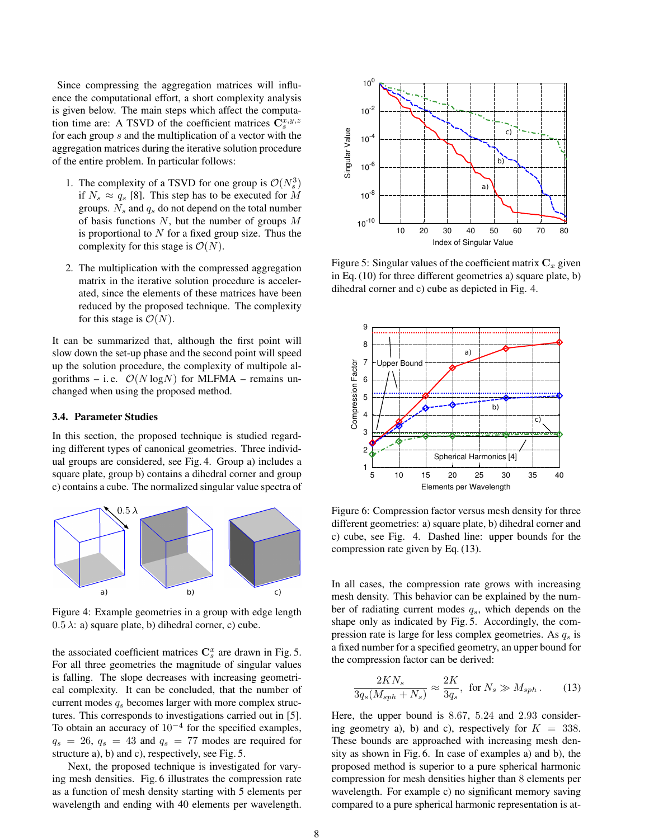Since compressing the aggregation matrices will influence the computational effort, a short complexity analysis is given below. The main steps which affect the computation time are: A TSVD of the coefficient matrices  $\mathbf{C}_s^{x,y,z}$ for each group s and the multiplication of a vector with the aggregation matrices during the iterative solution procedure of the entire problem. In particular follows:

- 1. The complexity of a TSVD for one group is  $\mathcal{O}(N_s^3)$ if  $N_s \approx q_s$  [8]. This step has to be executed for M groups.  $N_s$  and  $q_s$  do not depend on the total number of basis functions  $N$ , but the number of groups  $M$ is proportional to  $N$  for a fixed group size. Thus the complexity for this stage is  $\mathcal{O}(N)$ .
- 2. The multiplication with the compressed aggregation matrix in the iterative solution procedure is accelerated, since the elements of these matrices have been reduced by the proposed technique. The complexity for this stage is  $\mathcal{O}(N)$ .

It can be summarized that, although the first point will slow down the set-up phase and the second point will speed up the solution procedure, the complexity of multipole algorithms – i.e.  $\mathcal{O}(N \log N)$  for MLFMA – remains unchanged when using the proposed method.

#### 3.4. Parameter Studies

In this section, the proposed technique is studied regarding different types of canonical geometries. Three individual groups are considered, see Fig. 4. Group a) includes a square plate, group b) contains a dihedral corner and group c) contains a cube. The normalized singular value spectra of



Figure 4: Example geometries in a group with edge length  $(0.5 \lambda)$ : a) square plate, b) dihedral corner, c) cube.

the associated coefficient matrices  $\mathbf{C}_s^x$  are drawn in Fig. 5. For all three geometries the magnitude of singular values is falling. The slope decreases with increasing geometrical complexity. It can be concluded, that the number of current modes  $q_s$  becomes larger with more complex structures. This corresponds to investigations carried out in [5]. To obtain an accuracy of  $10^{-4}$  for the specified examples,  $q_s = 26$ ,  $q_s = 43$  and  $q_s = 77$  modes are required for structure a), b) and c), respectively, see Fig. 5.

Next, the proposed technique is investigated for varying mesh densities. Fig. 6 illustrates the compression rate as a function of mesh density starting with 5 elements per wavelength and ending with 40 elements per wavelength.



Figure 5: Singular values of the coefficient matrix  $C_x$  given in Eq. (10) for three different geometries a) square plate, b) dihedral corner and c) cube as depicted in Fig. 4.



Figure 6: Compression factor versus mesh density for three different geometries: a) square plate, b) dihedral corner and c) cube, see Fig. 4. Dashed line: upper bounds for the compression rate given by Eq. (13).

In all cases, the compression rate grows with increasing mesh density. This behavior can be explained by the number of radiating current modes  $q_s$ , which depends on the shape only as indicated by Fig. 5. Accordingly, the compression rate is large for less complex geometries. As  $q_s$  is a fixed number for a specified geometry, an upper bound for the compression factor can be derived:

$$
\frac{2KN_s}{3q_s(M_{sph} + N_s)} \approx \frac{2K}{3q_s}, \text{ for } N_s \gg M_{sph}. \tag{13}
$$

Here, the upper bound is 8.67, 5.24 and 2.93 considering geometry a), b) and c), respectively for  $K = 338$ . These bounds are approached with increasing mesh density as shown in Fig. 6. In case of examples a) and b), the proposed method is superior to a pure spherical harmonic compression for mesh densities higher than 8 elements per wavelength. For example c) no significant memory saving compared to a pure spherical harmonic representation is at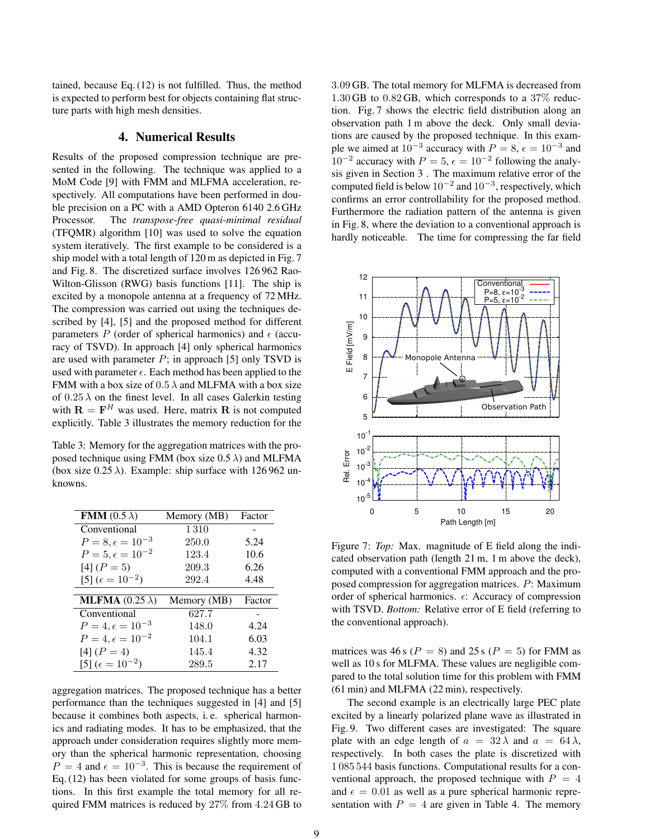tained, because Eq. (12) is not fulfilled. Thus, the method is expected to perform best for objects containing flat structure parts with high mesh densities.

#### 4. Numerical Results

Results of the proposed compression technique are presented in the following. The technique was applied to a MoM Code [9] with FMM and MLFMA acceleration, respectively. All computations have been performed in double precision on a PC with a AMD Opteron 6140 2.6 GHz Processor. The *transpose-free quasi-minimal residual* (TFQMR) algorithm [10] was used to solve the equation system iteratively. The first example to be considered is a ship model with a total length of 120 m as depicted in Fig. 7 and Fig. 8. The discretized surface involves 126 962 Rao-Wilton-Glisson (RWG) basis functions [11]. The ship is excited by a monopole antenna at a frequency of 72 MHz. The compression was carried out using the techniques described by [4], [5] and the proposed method for different parameters P (order of spherical harmonics) and  $\epsilon$  (accuracy of TSVD). In approach [4] only spherical harmonics are used with parameter  $P$ ; in approach [5] only TSVD is used with parameter  $\epsilon$ . Each method has been applied to the FMM with a box size of  $0.5 \lambda$  and MLFMA with a box size of  $0.25 \lambda$  on the finest level. In all cases Galerkin testing with  $\mathbf{R} = \mathbf{F}^H$  was used. Here, matrix **R** is not computed explicitly. Table 3 illustrates the memory reduction for the

Table 3: Memory for the aggregation matrices with the proposed technique using FMM (box size  $0.5 \lambda$ ) and MLFMA (box size  $0.25 \lambda$ ). Example: ship surface with 126 962 unknowns.

| <b>FMM</b> $(0.5 \lambda)$     | Memory (MB) | Factor |
|--------------------------------|-------------|--------|
| Conventional                   | 1310        |        |
| $P = 8, \epsilon = 10^{-3}$    | 250.0       | 5.24   |
| $P = 5, \epsilon = 10^{-2}$    | 123.4       | 10.6   |
| $[4] (P = 5)$                  | 209.3       | 6.26   |
| [5] $(\epsilon = 10^{-2})$     | 292.4       | 4.48   |
|                                |             |        |
| <b>MLFMA</b> $(0.25 \lambda)$  | Memory (MB) | Factor |
| Conventional                   | 627.7       |        |
| $P = 4, \epsilon = 10^{-3}$    | 148.0       | 4.24   |
| $P = 4, \epsilon = 10^{-2}$    | 104.1       | 6.03   |
| $[4] (P = 4)$                  | 145.4       | 4.32   |
| $[5]$ ( $\epsilon = 10^{-2}$ ) | 289.5       | 2.17   |

aggregation matrices. The proposed technique has a better performance than the techniques suggested in [4] and [5] because it combines both aspects, i. e. spherical harmonics and radiating modes. It has to be emphasized, that the approach under consideration requires slightly more memory than the spherical harmonic representation, choosing  $P = 4$  and  $\epsilon = 10^{-3}$ . This is because the requirement of Eq. (12) has been violated for some groups of basis functions. In this first example the total memory for all required FMM matrices is reduced by 27% from 4.24 GB to

3.09 GB. The total memory for MLFMA is decreased from  $1.30$  GB to  $0.82$  GB, which corresponds to a  $37\%$  reduction. Fig. 7 shows the electric field distribution along an observation path 1 m above the deck. Only small deviations are caused by the proposed technique. In this example we aimed at  $10^{-3}$  accuracy with  $P = 8$ ,  $\epsilon = 10^{-3}$  and 10<sup>-2</sup> accuracy with  $P = 5$ ,  $\epsilon = 10^{-2}$  following the analysis given in Section 3. The maximum relative error of the computed field is below  $10^{-2}$  and  $10^{-3}$ , respectively, which confirms an error controllability for the proposed method. Furthermore the radiation pattern of the antenna is given in Fig. 8, where the deviation to a conventional approach is hardly noticeable. The time for compressing the far field



Figure 7: *Top:* Max. magnitude of E field along the indicated observation path (length 21 m, 1 m above the deck), computed with a conventional FMM approach and the proposed compression for aggregation matrices. P: Maximum order of spherical harmonics.  $\epsilon$ : Accuracy of compression with TSVD. *Bottom:* Relative error of E field (referring to the conventional approach).

matrices was 46 s ( $P = 8$ ) and 25 s ( $P = 5$ ) for FMM as well as 10 s for MLFMA. These values are negligible compared to the total solution time for this problem with FMM (61 min) and MLFMA (22 min), respectively.

The second example is an electrically large PEC plate excited by a linearly polarized plane wave as illustrated in Fig. 9. Two different cases are investigated: The square plate with an edge length of  $a = 32 \lambda$  and  $a = 64 \lambda$ , respectively. In both cases the plate is discretized with 1 085 544 basis functions. Computational results for a conventional approach, the proposed technique with  $P = 4$ and  $\epsilon = 0.01$  as well as a pure spherical harmonic representation with  $P = 4$  are given in Table 4. The memory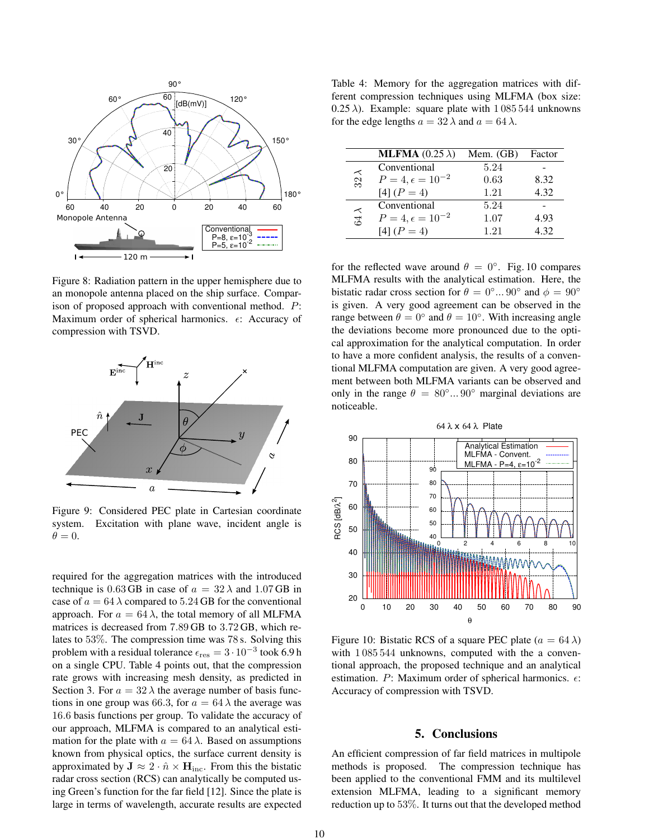

Figure 8: Radiation pattern in the upper hemisphere due to an monopole antenna placed on the ship surface. Comparison of proposed approach with conventional method. P: Maximum order of spherical harmonics.  $\epsilon$ : Accuracy of compression with TSVD.



Figure 9: Considered PEC plate in Cartesian coordinate system. Excitation with plane wave, incident angle is  $\theta = 0.$ 

required for the aggregation matrices with the introduced technique is 0.63 GB in case of  $a = 32 \lambda$  and 1.07 GB in case of  $a = 64 \lambda$  compared to 5.24 GB for the conventional approach. For  $a = 64 \lambda$ , the total memory of all MLFMA matrices is decreased from 7.89 GB to 3.72 GB, which relates to 53%. The compression time was 78 s. Solving this problem with a residual tolerance  $\epsilon_{\rm res} = 3 \cdot 10^{-3}$  took 6.9 h on a single CPU. Table 4 points out, that the compression rate grows with increasing mesh density, as predicted in Section 3. For  $a = 32 \lambda$  the average number of basis functions in one group was 66.3, for  $a = 64 \lambda$  the average was 16.6 basis functions per group. To validate the accuracy of our approach, MLFMA is compared to an analytical estimation for the plate with  $a = 64 \lambda$ . Based on assumptions known from physical optics, the surface current density is approximated by  $J \approx 2 \cdot \hat{n} \times H_{\text{inc}}$ . From this the bistatic radar cross section (RCS) can analytically be computed using Green's function for the far field [12]. Since the plate is large in terms of wavelength, accurate results are expected

Table 4: Memory for the aggregation matrices with different compression techniques using MLFMA (box size:  $(0.25 \lambda)$ . Example: square plate with 1 085 544 unknowns for the edge lengths  $a = 32 \lambda$  and  $a = 64 \lambda$ .

|             | <b>MLFMA</b> $(0.25 \lambda)$ | Mem. $(GB)$ | Factor |
|-------------|-------------------------------|-------------|--------|
| $32\lambda$ | Conventional                  | 5.24        |        |
|             | $P = 4, \epsilon = 10^{-2}$   | 0.63        | 8.32   |
|             | $[4] (P = 4)$                 | 1.21        | 4.32   |
| $64\lambda$ | Conventional                  | 5.24        |        |
|             | $P = 4, \epsilon = 10^{-2}$   | 1.07        | 4.93   |
|             | $[4] (P = 4)$                 | 1.21        | 4.32   |

for the reflected wave around  $\theta = 0^\circ$ . Fig. 10 compares MLFMA results with the analytical estimation. Here, the bistatic radar cross section for  $\theta = 0^{\circ}...$  90° and  $\phi = 90^{\circ}$ is given. A very good agreement can be observed in the range between  $\theta = 0^{\circ}$  and  $\theta = 10^{\circ}$ . With increasing angle the deviations become more pronounced due to the optical approximation for the analytical computation. In order to have a more confident analysis, the results of a conventional MLFMA computation are given. A very good agreement between both MLFMA variants can be observed and only in the range  $\theta = 80^\circ \dots 90^\circ$  marginal deviations are noticeable.



Figure 10: Bistatic RCS of a square PEC plate ( $a = 64 \lambda$ ) with 1 085 544 unknowns, computed with the a conventional approach, the proposed technique and an analytical estimation. P: Maximum order of spherical harmonics.  $\epsilon$ : Accuracy of compression with TSVD.

# 5. Conclusions

An efficient compression of far field matrices in multipole methods is proposed. The compression technique has been applied to the conventional FMM and its multilevel extension MLFMA, leading to a significant memory reduction up to 53%. It turns out that the developed method